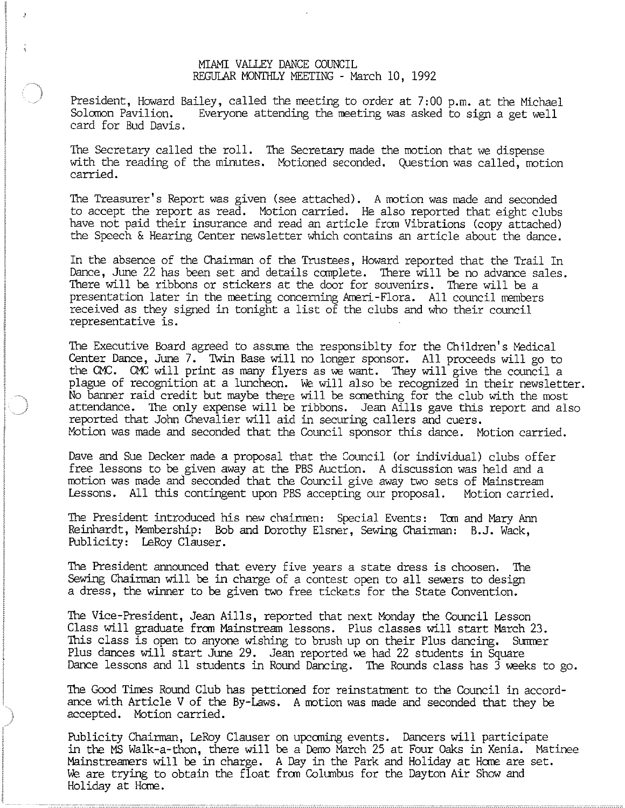## MIAMI VALLEY DANCE COUNCIL REGULAR MONTHLY MEETING - March 10, 1992

President, Howard Bailey, called the meeting to order at 7:00 p.m. at the Michael<br>Solomon Pavilion. Everyone attending the meeting was asked to sign a get well Everyone attending the meeting was asked to sign a get well card for Bud Davis.

The Secretary called the roll. The Secretary made the motion that we dispense with the reading of the minutes. Motioned seconded. Question was called, motion carried.

The Treasurer's Report was given (see attached). A motion was made and seconded to accept the report as read. Motion carried. He also reported that eight clubs have not paid their insurance and read an article from Vibrations (copy attached) the Speech & Hearing Center newsletter which contains an article about the dance.

In the absence of the Chairman of the Trustees, Howard reported that the Trail In Dance, June 22 has been set and details complete. There will be no advance sales. There will be ribbons or stickers at the door for souvenirs. There will be a presentation later in the meeting concerning Ameri-Flora. All council members received as they signed in tonight a list of the clubs and who their council representative is.

The Executive Board agreed to assume the responsiblty for the Children's Medical Center Dance, June 7. Twin Base will no longer sponsor. All proceeds will go to the CMC. CMC will print as many flyers as we want. They will give the council a plague of recognition at a luncheon. We will also be recognized in their newsletter. No banner raid credit but maybe there will be something for the club with the most attendance. The only expense will be ribbons. Jean Aills gave this report and also reported that John Chevalier will aid in securing callers and cuers. Motion was made and seconded that the Council sponsor this dance. Motion carried.

Dave and Sue Decker made a proposal that the Council (or individual) clubs offer free lessons to be given away at the PBS Auction. A discussion was held and a motion was made and seconded that the Council give away two sets of Mainstream Lessons. All this contingent upon PBS accepting our proposal. Motion carried.

The President L'1troduced his new chairmen: Special Events: Tom and Mary Ann Reinhardt, Membership: Bob and Dorothy Elsner, Sewing Chairman: B.J. Wack, Publicity: LeRoy Clauser.

The President announced that every five years a state dress is choosen. The Sewing Chairman will be in charge of a contest open to all sewers to design a dress, the winner to be given two free tickets for the State Convention.

The Vice-President, Jean Aills, reported that next Monday the Council Lesson Class will graduate from Mainstream lessons. Plus classes will start March 23. This class is open to anyone wishing to brush up on their Plus dancing. Summer Plus dances will start June 29. Jean reported we had 22 students in Square Dance lessons and 11 students in Round Dancing. The Rounds class has 3 weeks to go.

The Good Times Round Club has pettioned for reinstatrnent to the Council in accordance with Article V of the By-Laws. A motion was made and seconded that they be accepted. Motion carried.

Publicity Chairman, LeRoy Clauser on upcoming events. Dancers will participate in the MS Walk-a-thon, there will be a Demo March 25 at Four Oaks in Xenia. Matinee Mainstreamers will be in charge. A Day in the Park and Holiday at Home are set. We are trying to obtain the float from Columbus for the Dayton Air Show and Holiday at Home.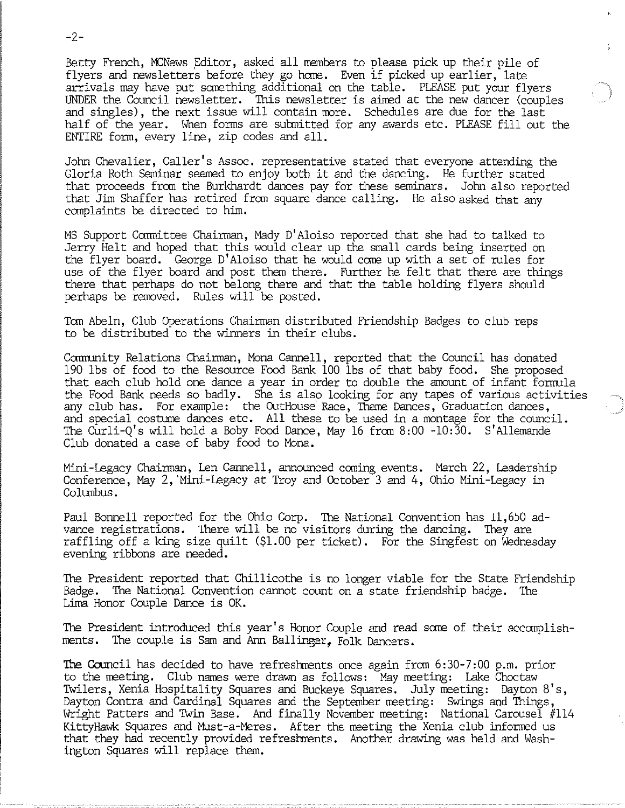Betty French, MCNews Editor, asked all members to please pick up their pile of flyers and newsletters before they go home. Even if picked up earlier, late arrivals may have put something additional on the table. PLEASE put your flyers UNDER the Council newsletter. This newsletter is aimed at the new dancer (couples and singles), the next issue will contain more. Schedules are due for the last half of the year. When forms are submitted for any awards etc. PLEASE fill out the ENTIRE form, every line, zip codes and all.

John Chevalier, Caller's Assoc. representative stated that everyone attending the Gloria Roth Seminar seemed to enjoy both it and the dancing. He further stated that proceeds from the Burkhardt dances pay for these seminars. John also reported that Jim Shaffer has retired from square dance calling. He also asked that any complaints be directed to him.

NS Support Carrnittee Chairman, D' Aloiso reported that she had to talked to Jerry Helt and hoped that this would clear up the small cards being inserted on the flyer board. George D'Aloiso that he would come up with a set of rules for use of the flyer board and post them there. Further he felt that there are things there that perhaps do not belong there and that the table holding flyers should perhaps be removed. Rules will be posted.

Tom Abeln, Club Operations Chairman distributed Friendship Badges to club reps to be distributed to the winners in their clubs.

Community Relations Chairman, Mona Cannell, reported that the Council has donated 190 lbs of food to the Resource Food Bank 100 lbs of that baby food. She proposed that each club hold one dance a year in order to double the amount of infant formula the Food Bank needs so badly. She is also looking for any tapes of various activities any club has. For example: the OutHouse Race, Theme Dances, Graduation dances, and special costume dances etc. All these to be used in a montage for the council. The Curli-Q's will hold a Boby Food Dance, Nay 16 from 8:00 -10:30. S'Allemande Club donated a case of baby food to Nona.

Nini -Legacy Chairman, Len Cannell, announced coming events. Narch 22, Leadership Conference, May 2, Mini-Legacy at Troy and October 3 and 4, Ohio Mini-Legacy in Columbus.

Paul Bonnell reported for the Ohio Corp. The National Convention has 11,650 advance registrations. 1here will be no visitors during the dancing. They are raffling off a king size quilt (\$1.00 per ticket). For the Singfest on Wednesday evening ribbons are needed.

The President reported that Chillicothe is no longer viable for the State Friendship Badge. The National Convention cannot count on a state friendship badge. The Lima Honor Couple Dance is OK.

The President introduced this year's Honor Couple and read some of their accomplishments. The couple is Sam and Ann Ballinger. Folk Dancers.

The Council has decided to have refreshments once again from 6:30-7:00 p.m. prior to the meeting. Club names were drawn as follows: Nay meeting: Lake Choctaw Twilers, Xenia Hospitality Squares and Buckeye Squares. July meeting: Dayton 8' s, Dayton Contra and Cardinal Squares and the September meeting: Swings and Things, Wright Patters and Twin Base. And finally November meeting: National Carousel #114 KittyHawk Squares and Nust-a-Neres. After the meeting the Xenia club informed us that they had recently provided refreshments. Another drawing was held and Wash- ington Squares will replace them.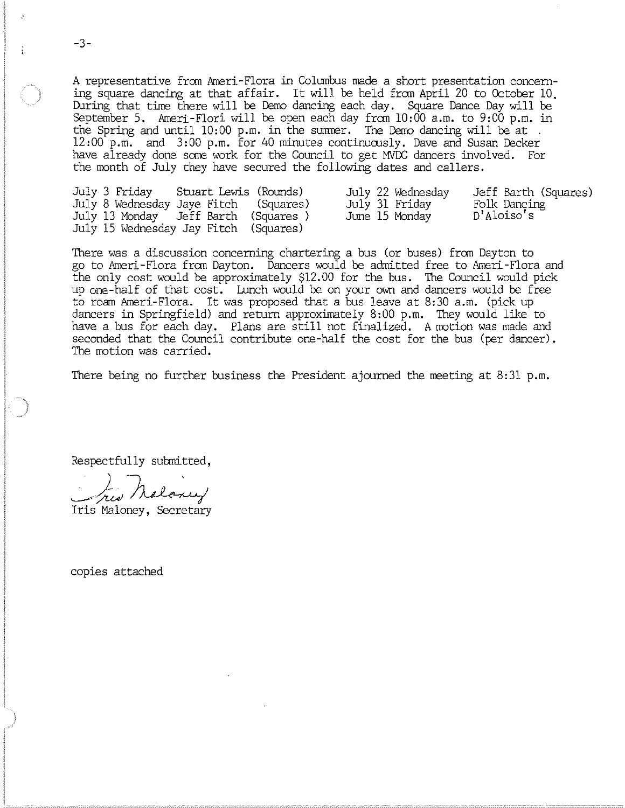A representative from Ameri-Flora in Columbus made a short presentation concerning square dancing at that affair. It will be held from April 20 to October 10. During that time there will be Demo dancing each day. Square Dance Day will be September 5. Ameri-Flori will be open each day from 10:00 a.m. to 9:00 p.m. in the Spring and until  $10:00$  p.m. in the summer. The Demo dancing will be at . 12:00 p.m. and 3:00 p.m. for 40 minutes continuously. Dave and Susan Decker have already done some work for the Council to get MVDC dancers involved. For the month of July they have secured the following dates and callers.

|  | July 3 Friday Stuart Lewis (Rounds)   | July 22 Wednesday | Jeff Barth (Squares) |
|--|---------------------------------------|-------------------|----------------------|
|  | July 8 Wednesday Jaye Fitch (Squares) | July 31 Friday    | Folk Dancing         |
|  | July 13 Monday Jeff Barth (Squares)   | June 15 Monday    | D'Aloiso's           |
|  | July 15 Wednesday Jay Fitch (Squares) |                   |                      |

There was a discussion concerning chartering a bus (or buses) from Dayton to go to Ameri-Flora from Dayton. Dancers would be admitted free to Ameri-Flora and the only cost would be approximately \$12.00 for the bus. The Council would pick up one-half of that cost. Lunch would be on your own and dancers would be free to roam Arneri-Flora. It was proposed that a bus leave at 8:30 a.m. (pick up dancers in Springfield) and return approximately 8:00 p.m. They would like to have a bus for each day. Plans are still not finalized. A motion was made and seconded that the Council contribute one-half the cost for the bus (per dancer). The motion was carried.

There being no further business the President ajoumed the meeting at 8:31 p.m.

Respectfully submitted,

Iris Maloney, Secretary

copies attached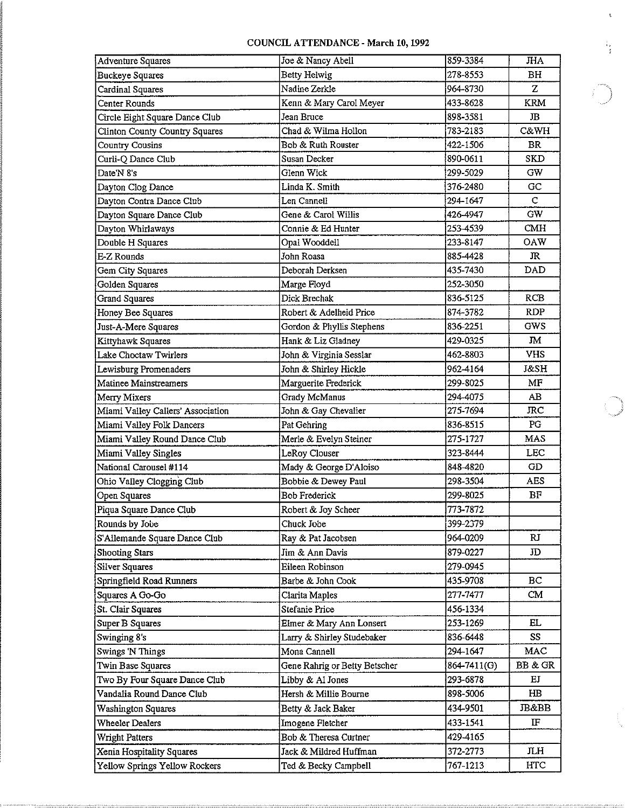## COUNCIL ATTENDANCE - March 10, 1992

| <b>Adventure Squares</b>          | Joe & Nancy Abell             | 859-3384    | <b>JHA</b>      |
|-----------------------------------|-------------------------------|-------------|-----------------|
| <b>Buckeye Squares</b>            | <b>Betty Helwig</b>           | 278-8553    | BH              |
| Cardinal Squares                  | Nadine Zerkle                 | 964-8730    | Z               |
| Center Rounds                     | Kenn & Mary Carol Meyer       | 433-8628    | <b>KRM</b>      |
| Circle Eight Square Dance Club    | Jean Bruce                    | 898-3581    | $_{\rm IB}$     |
| Clinton County Country Squares    | Chad & Wilma Hollon           | 783-2183    | <b>C&amp;WH</b> |
| Country Cousins                   | Bob & Ruth Rouster            | 422-1506    | <b>BR</b>       |
| Curli-Q Dance Club                | Susan Decker                  | 890-0611    | <b>SKD</b>      |
| Date'N 8's                        | Glenn Wick                    | 299-5029    | GW              |
| Dayton Clog Dance                 | Linda K. Smith                | 376-2480    | GC              |
| Dayton Contra Dance Club          | Len Cannell                   | 294-1647    | C               |
| Dayton Square Dance Club          | Gene & Carol Willis           | 426-4947    | GW.             |
| Dayton Whirlaways                 | Connie & Ed Hunter            | 253-4539    | CMH             |
| Double H Squares                  | Opal Wooddell                 | 233-8147    | <b>OAW</b>      |
| E-Z Rounds                        | John Roasa                    | 885-4428    | JR.             |
| Gem City Squares                  | Deborah Derksen               | 435-7430    | DAD             |
| Golden Squares                    | Marge Floyd                   | 252-3050    |                 |
| <b>Grand Squares</b>              | Dick Brechak                  | 836-5125    | RCB             |
| Honey Bee Squares                 | Robert & Adelheid Price       | 874-3782    | <b>RDP</b>      |
| Just-A-Mere Squares               | Gordon & Phyllis Stephens     | 836-2251    | GWS             |
| Kittyhawk Squares                 | Hank & Liz Gladney            | 429-0325    | <b>JM</b>       |
| Lake Choctaw Twirlers             | John & Virginia Sesslar       | 462-8803    | <b>VHS</b>      |
| Lewisburg Promenaders             | John & Shirley Hickle         | 962-4164    | J&SH            |
| Matinee Mainstreamers             | Marguerite Frederick          | 299-8025    | MF              |
| Merry Mixers                      | Grady McManus                 | 294-4075    | АB              |
| Miami Valley Callers' Association | John & Gay Chevalier          | 275-7694    | <b>JRC</b>      |
| Miami Valley Folk Dancers         | Pat Gehring                   | 836-8515    | PG              |
| Miami Valley Round Dance Club     | Merle & Evelyn Steiner        | 275-1727    | MAS             |
| Miami Valley Singles              | LeRoy Clouser                 | 323-8444    | <b>LEC</b>      |
| National Carousel #114            | Mady & George D'Aloiso        | 848-4820    | GD              |
| Ohio Valley Clogging Club         | Bobbie & Dewey Paul           | 298-3504    | <b>AES</b>      |
| Open Squares                      | <b>Bob Frederick</b>          | 299-8025    | ΒF              |
| Piqua Square Dance Club           | Robert & Joy Scheer           | 773-7872    |                 |
| Rounds by Jobe                    | Chuck Jobe                    | 399-2379    |                 |
| S'Allemande Square Dance Club     | Ray & Pat Jacobsen            | 964-0209    | RJ.             |
| <b>Shooting Stars</b>             | Jim & Ann Davis               | 879-0227    | JD              |
| <b>Silver Squares</b>             | Eileen Robinson               | 279-0945    |                 |
| Springfield Road Runners          | Barbe & John Cook             | 435-9708    | BC              |
| Squares A Go-Go                   | Clarita Maples                | 277-7477    | CM              |
| St. Clair Squares                 | Stefanie Price                | 456-1334    |                 |
| Super B Squares                   | Elmer & Mary Ann Lonsert      | 253-1269    | EL.             |
| Swinging 8's                      | Larry & Shirley Studebaker    | 836-6448    | SS              |
| <b>Swings 'N Things</b>           | Mona Cannell                  | 294-1647    | MAC             |
| Twin Base Squares                 | Gene Rahrig or Betty Betscher | 864-7411(G) | BB & GR         |
| Two By Four Square Dance Club     | Libby & Al Jones              | 293-6878    | EJ              |
| Vandalia Round Dance Club         | Hersh & Millie Bourne         | 898-5006    | $H\!B$          |
| <b>Washington Squares</b>         | Betty & Jack Baker            | 434-9501    | JB&BB           |
| <b>Wheeler Dealers</b>            | Imogene Fletcher              | 433-1541    | IF              |
| Wright Patters                    | Bob & Theresa Curtner         | 429-4165    |                 |
| Xenia Hospitality Squares         | Jack & Mildred Huffman        | 372-2773    | <b>JLH</b>      |
| Yellow Springs Yellow Rockers     | Ted & Becky Campbell          | 767-1213    | <b>HTC</b>      |
|                                   |                               |             |                 |

 $\bar{\zeta}$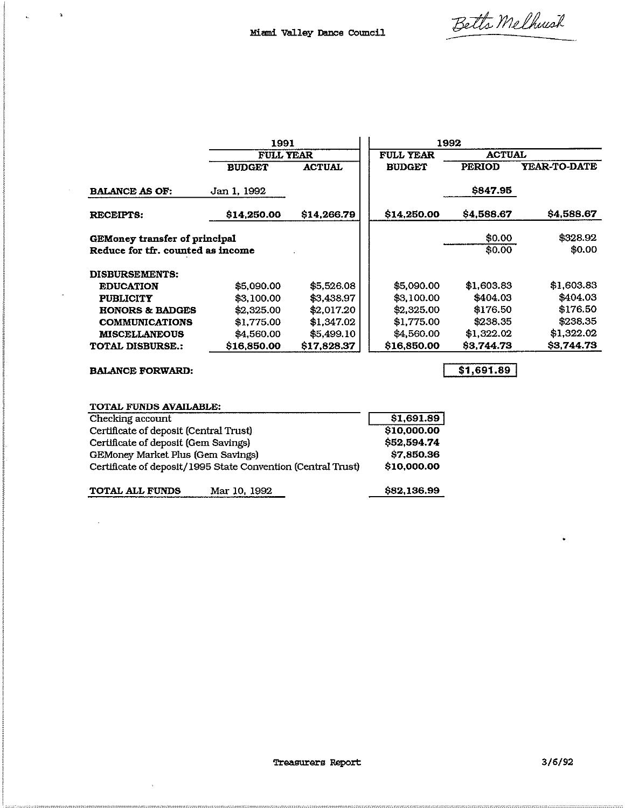Betts Melhusik

|                                                       | 1991             |               | 1992             |                |                     |
|-------------------------------------------------------|------------------|---------------|------------------|----------------|---------------------|
|                                                       | <b>FULL YEAR</b> |               | <b>FULL YEAR</b> | <b>ACTUAL</b>  |                     |
|                                                       | <b>BUDGET</b>    | <b>ACTUAL</b> | <b>BUDGET</b>    | <b>PERIOD</b>  | <b>YEAR-TO-DATE</b> |
| <b>BALANCE AS OF:</b>                                 | Jan 1, 1992      |               |                  | <b>S847.95</b> |                     |
| <b>RECEIPTS:</b>                                      | \$14,250.00      | \$14,266.79   | \$14,250.00      | \$4,588.67     | \$4,588.67          |
| GEMoney transfer of principal                         |                  |               |                  | \$0.00         | \$328.92            |
| Reduce for tfr. counted as income                     |                  |               |                  | \$0.00         | \$0.00              |
| DISBURSEMENTS:                                        |                  |               |                  |                |                     |
| <b>EDUCATION</b>                                      | \$5,090.00       | \$5,526.08    | \$5,090,00       | \$1,603.83     | \$1,603.83          |
| <b>PUBLICITY</b>                                      | \$3,100,00       | \$3,438,97    | \$3,100.00       | \$404.03       | \$404.03            |
| <b>HONORS &amp; BADGES</b>                            | \$2,325.00       | \$2,017.20    | \$2,325.00       | \$176.50       | \$176.50            |
| <b>COMMUNICATIONS</b>                                 | \$1,775,00       | \$1,347.02    | \$1,775.00       | \$238.35       | \$238.35            |
| <b>MISCELLANEOUS</b>                                  | \$4,560.00       | \$5,499.10    | \$4,560.00       | \$1,322,02     | \$1,322.02          |
| \$16,850,00<br>\$17,828,37<br><b>TOTAL DISBURSE.:</b> |                  |               | \$16,850.00      | \$3.744.73     | \$3,744.73          |
|                                                       |                  |               |                  |                |                     |

BALANCE FORWARD:

 $\mathcal{L}_{\mathcal{L}}$ 

 $\bar{\gamma}$ 

 $\frac{1}{2}$  ,  $\frac{1}{2}$  ,  $\frac{1}{2}$  ,  $\frac{1}{2}$ 

 $\sim$ 

 $\ddot{\phantom{0}}$ 

 $\overline{$1,691.89}$ 

| TOTAL FUNDS AVAILABLE:                 |                                                              |             |
|----------------------------------------|--------------------------------------------------------------|-------------|
| Checking account                       |                                                              | \$1,691.89  |
| Certificate of deposit (Central Trust) |                                                              | \$10,000.00 |
| Certificate of deposit (Gem Savings)   | \$52,594.74                                                  |             |
| GEMoney Market Plus (Gem Savings)      |                                                              | \$7,850.36  |
|                                        | Certificate of deposit/1995 State Convention (Central Trust) | \$10,000.00 |
| <b>TOTAL ALL FUNDS</b>                 | Mar 10, 1992                                                 | \$82,136.99 |

 $\ddot{\bullet}$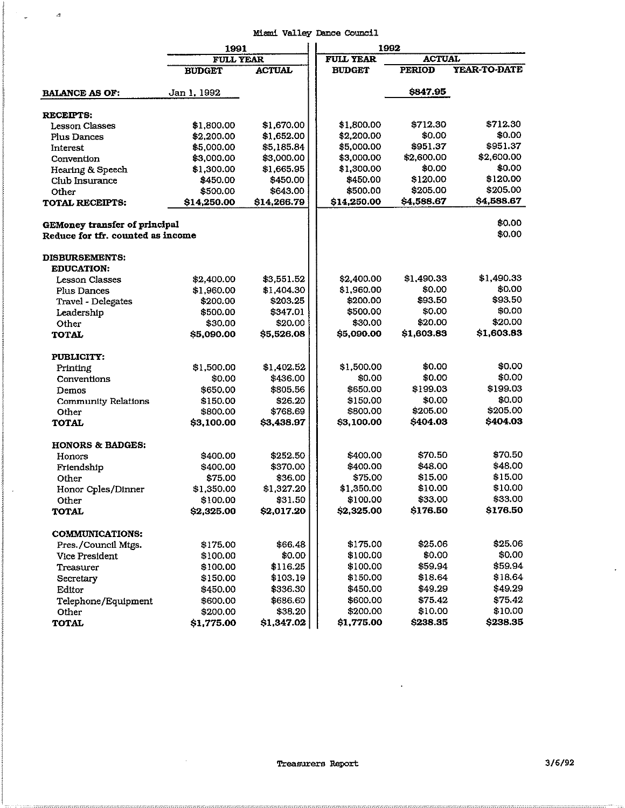## Miami Valley Dance Council

 $\label{eq:3.1} \begin{array}{cccccc} \ddots & & & & & \alpha \end{array}$ 

 $\ddot{\phantom{1}}$ 

|                                                                    | 1991                   |                       | 1992                              |                    |                     |
|--------------------------------------------------------------------|------------------------|-----------------------|-----------------------------------|--------------------|---------------------|
|                                                                    | <b>FULL YEAR</b>       |                       | <b>FULL YEAR</b><br><b>ACTUAL</b> |                    |                     |
|                                                                    | <b>BUDGET</b>          | <b>ACTUAL</b>         | <b>BUDGET</b>                     | <b>PERIOD</b>      | <b>YEAR-TO-DATE</b> |
| <b>BALANCE AS OF:</b>                                              | Jan 1, 1992            |                       |                                   | \$847.95           |                     |
| <b>RECEIPTS:</b>                                                   |                        |                       |                                   |                    |                     |
| <b>Lesson Classes</b>                                              | \$1,800.00             | \$1,670.00            | \$1,800.00                        | \$712.30           | \$712.30            |
| <b>Plus Dances</b>                                                 | \$2,200.00             | \$1,652.00            | \$2,200.00                        | \$0.00             | \$0.00              |
| Interest                                                           | \$5,000.00             | \$5,185.84            | \$5,000.00                        | \$951.37           | \$951.37            |
| Convention                                                         | \$3,000.00             | \$3,000.00            | \$3,000.00                        | \$2,600.00         | \$2,600.00          |
| Hearing & Speech                                                   | \$1,300.00             | \$1,665.95            | \$1,300.00                        | \$0.00             | \$0.00              |
| Club Insurance                                                     | \$450.00               | \$450.00              | \$450.00                          | \$120.00           | \$120.00            |
| Other                                                              | \$500.00               | \$643.00              | \$500.00                          | \$205.00           | \$205.00            |
| <b>TOTAL RECEIPTS:</b>                                             | \$14,250.00            | \$14,266.79           | \$14,250.00                       | \$4,588.67         | \$4,588.67          |
| GEMoney transfer of principal<br>Reduce for tfr. counted as income |                        |                       |                                   |                    | \$0.00<br>\$0.00    |
|                                                                    |                        |                       |                                   |                    |                     |
| <b>DISBURSEMENTS:</b>                                              |                        |                       |                                   |                    |                     |
| <b>EDUCATION:</b>                                                  |                        |                       |                                   |                    |                     |
| <b>Lesson Classes</b>                                              | \$2,400.00             | \$3,551.52            | \$2,400.00                        | \$1,490.33         | \$1,490.33          |
| Plus Dances                                                        | \$1,960.00             | \$1,404.30            | \$1,960.00                        | \$0.00             | \$0.00              |
| Travel - Delegates                                                 | \$200.00               | \$203.25              | \$200.00                          | \$93.50            | \$93.50             |
| Leadership                                                         | \$500.00               | \$347.01              | \$500.00                          | \$0.00             | \$0.00              |
| Other                                                              | \$30.00                | \$20.00               | \$30.00                           | \$20.00            | \$20.00             |
| <b>TOTAL</b>                                                       | \$5,090.00             | \$5,526.08            | \$5,090.00                        | \$1,603.83         | \$1,603.83          |
| PUBLICITY:                                                         |                        |                       |                                   | \$0.00             | \$0.00              |
| Printing                                                           | \$1,500.00             | \$1,402.52            | \$1,500.00                        | \$0.00             | \$0.00              |
| Conventions                                                        | \$0.00                 | \$436.00              | \$0.00                            |                    | \$199.03            |
| Demos                                                              | \$650.00               | \$805.56              | \$650.00                          | \$199.03<br>\$0.00 | \$0.00              |
| <b>Community Relations</b>                                         | \$150.00               | \$26.20               | \$150.00<br>\$800.00              | \$205.00           | \$205.00            |
| Other                                                              | \$800.00               | \$768.69              | \$3,100.00                        | \$404.03           | \$404.03            |
| <b>TOTAL</b>                                                       | \$3,100.00             | \$3,438.97            |                                   |                    |                     |
| <b>HONORS &amp; BADGES:</b>                                        |                        |                       | \$400.00                          | \$70.50            | \$70.50             |
| Honors                                                             | \$400.00               | \$252.50<br>\$370.00  | \$400.00                          | \$48.00            | \$48.00             |
| Friendship                                                         | \$400.00               |                       | \$75.00                           | \$15.00            | \$15.00             |
| Other                                                              | \$75.00                | \$36.00<br>\$1,327.20 | \$1,350.00                        | \$10.00            | \$10.00             |
| Honor Cples/Dinner                                                 | \$1,350.00<br>\$100.00 | \$31.50               | \$100.00                          | \$33.00            | \$33.00             |
| Other<br>TOTAL                                                     | \$2,325.00             | \$2,017.20            | \$2,325.00                        | \$176.50           | \$176.50            |
| <b>COMMUNICATIONS:</b>                                             |                        |                       |                                   |                    |                     |
| Pres./Council Mtgs.                                                | \$175.00               | \$66.48               | \$175.00                          | \$25.06            | \$25.06             |
| Vice President                                                     | \$100.00               | \$0.00                | \$100.00                          | \$0.00             | \$0.00              |
| Treasurer                                                          | \$100.00               | \$116.25              | \$100.00                          | \$59.94            | \$59.94             |
|                                                                    | \$150.00               | \$103.19              | \$150.00                          | \$18.64            | \$18.64             |
| Secretary<br>Editor                                                | \$450.00               | \$336.30              | \$450.00                          | \$49.29            | \$49.29             |
| Telephone/Equipment                                                | \$600.00               | \$686.60              | \$600.00                          | \$75.42            | \$75.42             |
| Other                                                              | \$200.00               | \$38.20               | \$200.00                          | \$10.00            | \$10.00             |
| <b>TOTAL</b>                                                       | \$1,775.00             | \$1,347.02            | \$1,775.00                        | \$238.35           | \$238.35            |

 $\sim$ 

 $\ddot{\phantom{1}}$ 

 $\hat{\mathcal{L}}$